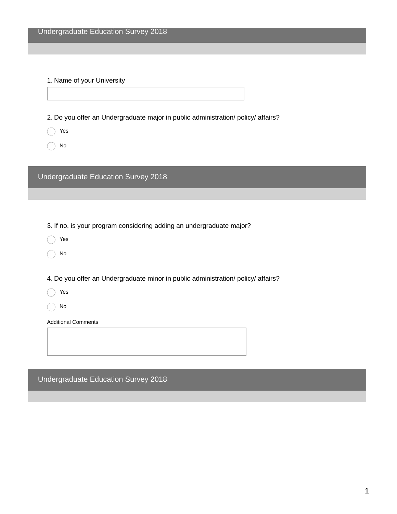1. Name of your University

2. Do you offer an Undergraduate major in public administration/ policy/ affairs?

- Yes
- No

Undergraduate Education Survey 2018

3. If no, is your program considering adding an undergraduate major?

- Yes
- No

4. Do you offer an Undergraduate minor in public administration/ policy/ affairs?

Yes

No

Additional Comments

Undergraduate Education Survey 2018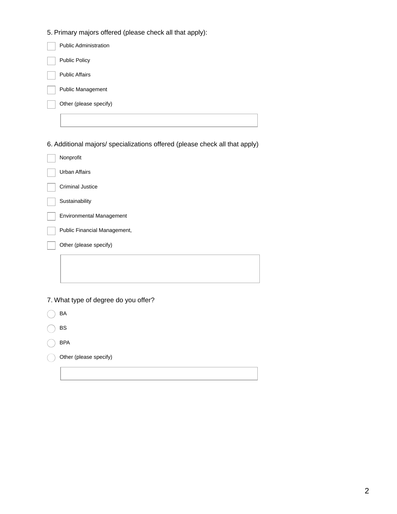5. Primary majors offered (please check all that apply):

| <b>Public Administration</b> |
|------------------------------|
| <b>Public Policy</b>         |
| <b>Public Affairs</b>        |
| Public Management            |
| Other (please specify)       |
|                              |

6. Additional majors/ specializations offered (please check all that apply)

| Nonprofit                       |
|---------------------------------|
| <b>Urban Affairs</b>            |
| <b>Criminal Justice</b>         |
| Sustainability                  |
| <b>Environmental Management</b> |
| Public Financial Management,    |
| Other (please specify)          |
|                                 |
|                                 |

7. What type of degree do you offer?

| BA                     |
|------------------------|
| BS                     |
| <b>BPA</b>             |
| Other (please specify) |
|                        |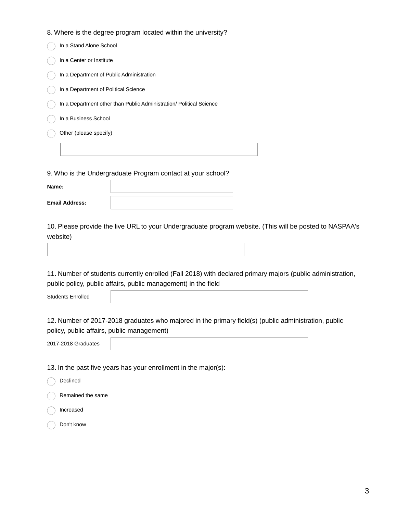#### 8. Where is the degree program located within the university?

| In a Stand Alone School                                             |
|---------------------------------------------------------------------|
| In a Center or Institute                                            |
| In a Department of Public Administration                            |
| In a Department of Political Science                                |
| In a Department other than Public Administration/ Political Science |
| In a Business School                                                |
| Other (please specify)                                              |
|                                                                     |
|                                                                     |

9. Who is the Undergraduate Program contact at your school?

**Name:**

**Email Address:**

10. Please provide the live URL to your Undergraduate program website. (This will be posted to NASPAA's website)

11. Number of students currently enrolled (Fall 2018) with declared primary majors (public administration, public policy, public affairs, public management) in the field

Students Enrolled

12. Number of 2017-2018 graduates who majored in the primary field(s) (public administration, public policy, public affairs, public management)

2017-2018 Graduates

13. In the past five years has your enrollment in the major(s):

| Declined                |
|-------------------------|
| $( )$ Remained the same |
| ( ) Increased           |
| Don't know              |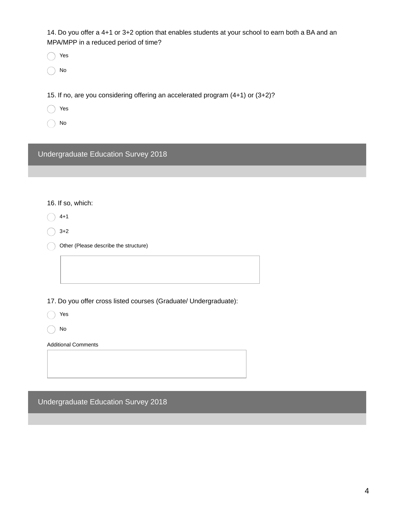14. Do you offer a 4+1 or 3+2 option that enables students at your school to earn both a BA and an MPA/MPP in a reduced period of time?

Yes

No

15. If no, are you considering offering an accelerated program (4+1) or (3+2)?

- Yes
- No

Undergraduate Education Survey 2018

## 16. If so, which:

 $\bigcirc$  4+1

 $\bigcirc$  3+2

Other (Please describe the structure)

17. Do you offer cross listed courses (Graduate/ Undergraduate):

| v۵<br>v<br>۰.<br>× |
|--------------------|
|                    |

No

Additional Comments

Undergraduate Education Survey 2018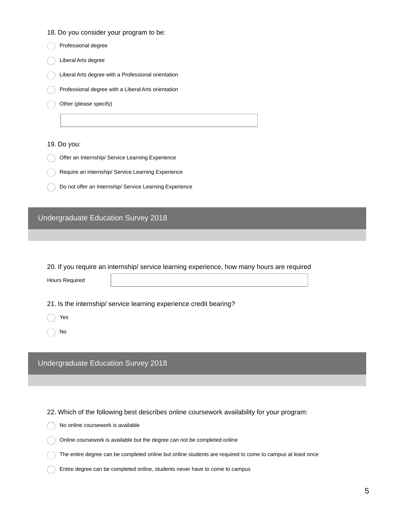| 18. Do you consider your program to be: |  |  |
|-----------------------------------------|--|--|
|-----------------------------------------|--|--|

| Professional degree                                     |
|---------------------------------------------------------|
| Liberal Arts degree                                     |
| Liberal Arts degree with a Professional orientation     |
| Professional degree with a Liberal Arts orientation     |
| Other (please specify)                                  |
|                                                         |
|                                                         |
| 19. Do you:                                             |
| Offer an Internship/ Service Learning Experience        |
| Require an internship/ Service Learning Experience      |
| Do not offer an Internship/ Service Learning Experience |
|                                                         |
|                                                         |

# Undergraduate Education Survey 2018

|  | 20. If you require an internship/ service learning experience, how many hours are required |  |  |  |
|--|--------------------------------------------------------------------------------------------|--|--|--|
|  |                                                                                            |  |  |  |

Hours Required

21. Is the internship/ service learning experience credit bearing?

- Yes
- No

Undergraduate Education Survey 2018

22. Which of the following best describes online coursework availability for your program:

No online coursework is available

 $\bigcap$  Online coursework is available but the degree can not be completed online

The entire degree can be completed online but online students are required to come to campus at least once

Entire degree can be completed online, students never have to come to campus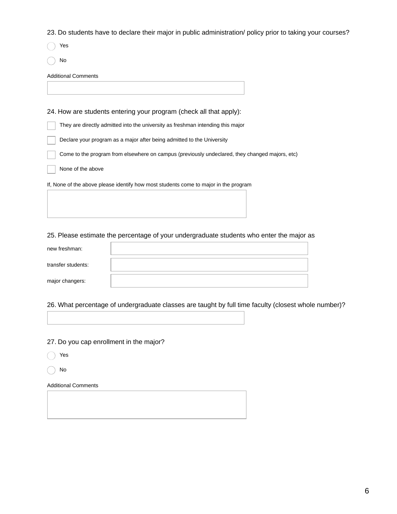23. Do students have to declare their major in public administration/ policy prior to taking your courses?

Yes

No

Additional Comments

24. How are students entering your program (check all that apply): They are directly admitted into the university as freshman intending this major Declare your program as a major after being admitted to the University Come to the program from elsewhere on campus (previously undeclared, they changed majors, etc)

None of the above

If, None of the above please identify how most students come to major in the program

### 25. Please estimate the percentage of your undergraduate students who enter the major as

| new freshman:      |  |
|--------------------|--|
|                    |  |
| transfer students: |  |
|                    |  |
| major changers:    |  |

26. What percentage of undergraduate classes are taught by full time faculty (closest whole number)?

27. Do you cap enrollment in the major?

Yes

No

Additional Comments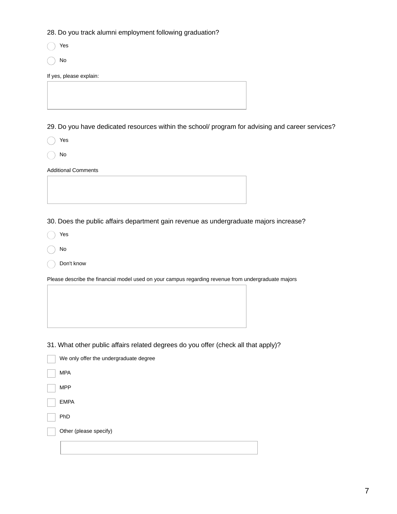28. Do you track alumni employment following graduation?

Yes

No

If yes, please explain:

29. Do you have dedicated resources within the school/ program for advising and career services?

Yes

No

Additional Comments

30. Does the public affairs department gain revenue as undergraduate majors increase?

Yes

No

Don't know

Please describe the financial model used on your campus regarding revenue from undergraduate majors

31. What other public affairs related degrees do you offer (check all that apply)?

| We only offer the undergraduate degree |
|----------------------------------------|
| <b>MPA</b>                             |
| <b>MPP</b>                             |
| <b>EMPA</b>                            |
| PhD                                    |
| Other (please specify)                 |
|                                        |